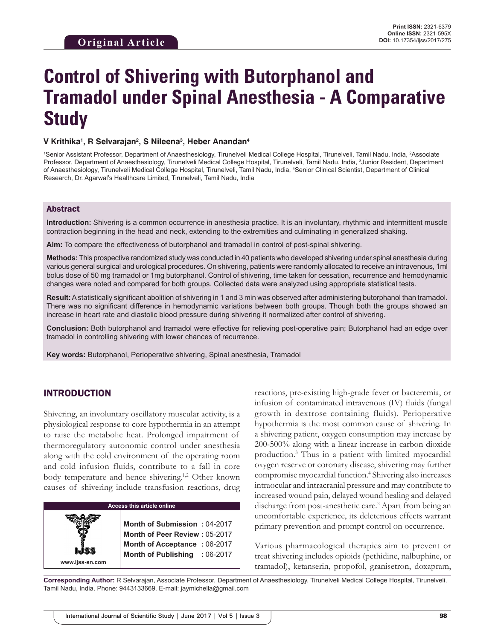# **Control of Shivering with Butorphanol and Tramadol under Spinal Anesthesia - A Comparative Study**

#### **V Krithika1 , R Selvarajan2 , S Nileena3 , Heber Anandan4**

<sup>1</sup>Senior Assistant Professor, Department of Anaesthesiology, Tirunelveli Medical College Hospital, Tirunelveli, Tamil Nadu, India, <sup>2</sup>Associate Professor, Department of Anaesthesiology, Tirunelveli Medical College Hospital, Tirunelveli, Tamil Nadu, India, <sup>3</sup>Junior Resident, Department of Anaesthesiology, Tirunelveli Medical College Hospital, Tirunelveli, Tamil Nadu, India, 4 Senior Clinical Scientist, Department of Clinical Research, Dr. Agarwal's Healthcare Limited, Tirunelveli, Tamil Nadu, India

#### Abstract

**Introduction:** Shivering is a common occurrence in anesthesia practice. It is an involuntary, rhythmic and intermittent muscle contraction beginning in the head and neck, extending to the extremities and culminating in generalized shaking.

**Aim:** To compare the effectiveness of butorphanol and tramadol in control of post-spinal shivering.

**Methods:** This prospective randomized study was conducted in 40 patients who developed shivering under spinal anesthesia during various general surgical and urological procedures. On shivering, patients were randomly allocated to receive an intravenous, 1ml bolus dose of 50 mg tramadol or 1mg butorphanol. Control of shivering, time taken for cessation, recurrence and hemodynamic changes were noted and compared for both groups. Collected data were analyzed using appropriate statistical tests.

**Result:** Astatistically significant abolition of shivering in 1 and 3 min was observed after administering butorphanol than tramadol. There was no significant difference in hemodynamic variations between both groups. Though both the groups showed an increase in heart rate and diastolic blood pressure during shivering it normalized after control of shivering.

**Conclusion:** Both butorphanol and tramadol were effective for relieving post-operative pain; Butorphanol had an edge over tramadol in controlling shivering with lower chances of recurrence.

**Key words:** Butorphanol, Perioperative shivering, Spinal anesthesia, Tramadol

#### INTRODUCTION

**www.ijss-sn.com**

Shivering, an involuntary oscillatory muscular activity, is a physiological response to core hypothermia in an attempt to raise the metabolic heat. Prolonged impairment of thermoregulatory autonomic control under anesthesia along with the cold environment of the operating room and cold infusion fluids, contribute to a fall in core body temperature and hence shivering.<sup>1,2</sup> Other known causes of shivering include transfusion reactions, drug

| Access this article online |  |
|----------------------------|--|
|                            |  |

**Month of Submission :** 04-2017 **Month of Peer Review :** 05-2017 **Month of Acceptance :** 06-2017 **Month of Publishing :** 06-2017 reactions, pre-existing high-grade fever or bacteremia, or infusion of contaminated intravenous (IV) fluids (fungal growth in dextrose containing fluids). Perioperative hypothermia is the most common cause of shivering. In a shivering patient, oxygen consumption may increase by 200-500% along with a linear increase in carbon dioxide production.<sup>3</sup> Thus in a patient with limited myocardial oxygen reserve or coronary disease, shivering may further compromise myocardial function.<sup>4</sup> Shivering also increases intraocular and intracranial pressure and may contribute to increased wound pain, delayed wound healing and delayed discharge from post-anesthetic care.<sup>2</sup> Apart from being an uncomfortable experience, its deleterious effects warrant primary prevention and prompt control on occurrence.

Various pharmacological therapies aim to prevent or treat shivering includes opioids (pethidine, nalbuphine, or tramadol), ketanserin, propofol, granisetron, doxapram,

**Corresponding Author:** R Selvarajan, Associate Professor, Department of Anaesthesiology, Tirunelveli Medical College Hospital, Tirunelveli, Tamil Nadu, India. Phone: 9443133669. E-mail: jaymichella@gmail.com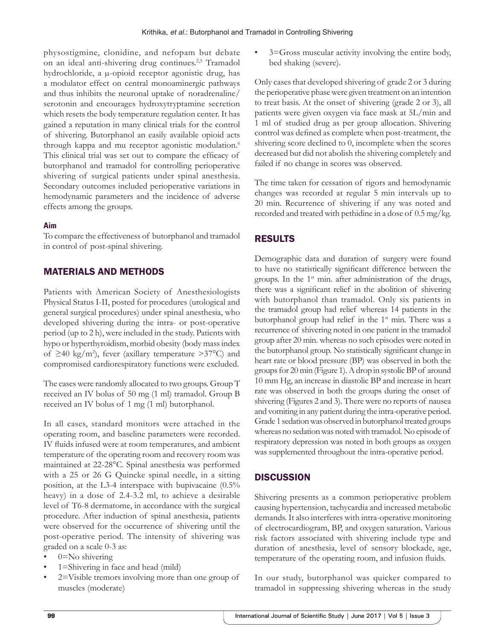physostigmine, clonidine, and nefopam but debate on an ideal anti-shivering drug continues.2,5 Tramadol hydrochloride, a µ-opioid receptor agonistic drug, has a modulator effect on central monoaminergic pathways and thus inhibits the neuronal uptake of noradrenaline/ serotonin and encourages hydroxytryptamine secretion which resets the body temperature regulation center. It has gained a reputation in many clinical trials for the control of shivering. Butorphanol an easily available opioid acts through kappa and mu receptor agonistic modulation.<sup>6</sup> This clinical trial was set out to compare the efficacy of butorphanol and tramadol for controlling perioperative shivering of surgical patients under spinal anesthesia. Secondary outcomes included perioperative variations in hemodynamic parameters and the incidence of adverse effects among the groups.

#### **Aim**

To compare the effectiveness of butorphanol and tramadol in control of post-spinal shivering.

### MATERIALS AND METHODS

Patients with American Society of Anesthesiologists Physical Status I-II, posted for procedures (urological and general surgical procedures) under spinal anesthesia, who developed shivering during the intra- or post-operative period (up to 2 h), were included in the study. Patients with hypo or hyperthyroidism, morbid obesity (body mass index of ≥40 kg/m<sup>2</sup>), fever (axillary temperature >37°C) and compromised cardiorespiratory functions were excluded.

The cases were randomly allocated to two groups. Group T received an IV bolus of 50 mg (1 ml) tramadol. Group B received an IV bolus of 1 mg (1 ml) butorphanol.

In all cases, standard monitors were attached in the operating room, and baseline parameters were recorded. IV fluids infused were at room temperatures, and ambient temperature of the operating room and recovery room was maintained at 22-28°C. Spinal anesthesia was performed with a 25 or 26 G Quincke spinal needle, in a sitting position, at the L3-4 interspace with bupivacaine (0.5% heavy) in a dose of 2.4-3.2 ml, to achieve a desirable level of T6-8 dermatome, in accordance with the surgical procedure. After induction of spinal anesthesia, patients were observed for the occurrence of shivering until the post-operative period. The intensity of shivering was graded on a scale 0-3 as:

- $0 = No$  shivering
- 1=Shivering in face and head (mild)
- 2=Visible tremors involving more than one group of muscles (moderate)

• 3=Gross muscular activity involving the entire body, bed shaking (severe).

Only cases that developed shivering of grade 2 or 3 during the perioperative phase were given treatment on an intention to treat basis. At the onset of shivering (grade 2 or 3), all patients were given oxygen via face mask at 5L/min and 1 ml of studied drug as per group allocation. Shivering control was defined as complete when post-treatment, the shivering score declined to 0, incomplete when the scores decreased but did not abolish the shivering completely and failed if no change in scores was observed.

The time taken for cessation of rigors and hemodynamic changes was recorded at regular 5 min intervals up to 20 min. Recurrence of shivering if any was noted and recorded and treated with pethidine in a dose of 0.5 mg/kg.

# RESULTS

Demographic data and duration of surgery were found to have no statistically significant difference between the groups. In the  $1<sup>st</sup>$  min. after administration of the drugs, there was a significant relief in the abolition of shivering with butorphanol than tramadol. Only six patients in the tramadol group had relief whereas 14 patients in the butorphanol group had relief in the 1<sup>st</sup> min. There was a recurrence of shivering noted in one patient in the tramadol group after 20 min. whereas no such episodes were noted in the butorphanol group. No statistically significant change in heart rate or blood pressure (BP) was observed in both the groups for 20min (Figure 1). Adrop in systolic BP of around 10 mm Hg, an increase in diastolic BP and increase in heart rate was observed in both the groups during the onset of shivering (Figures 2 and 3). There were no reports of nausea and vomiting in any patient during the intra-operative period. Grade 1 sedation was observed in butorphanol treated groups whereas no sedation was noted with tramadol. No episode of respiratory depression was noted in both groups as oxygen was supplemented throughout the intra-operative period.

# **DISCUSSION**

Shivering presents as a common perioperative problem causing hypertension, tachycardia and increased metabolic demands. It also interferes with intra-operative monitoring of electrocardiogram, BP, and oxygen saturation. Various risk factors associated with shivering include type and duration of anesthesia, level of sensory blockade, age, temperature of the operating room, and infusion fluids.

In our study, butorphanol was quicker compared to tramadol in suppressing shivering whereas in the study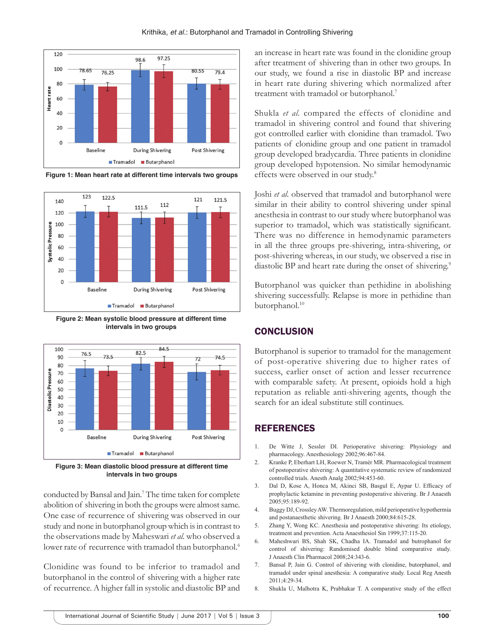

**Figure 1: Mean heart rate at different time intervals two groups**



**Figure 2: Mean systolic blood pressure at different time intervals in two groups**



**Figure 3: Mean diastolic blood pressure at different time intervals in two groups**

conducted by Bansal and Jain.7 The time taken for complete abolition of shivering in both the groups were almost same. One case of recurrence of shivering was observed in our study and none in butorphanol group which is in contrast to the observations made by Maheswari *et al.* who observed a lower rate of recurrence with tramadol than butorphanol.<sup>6</sup>

Clonidine was found to be inferior to tramadol and butorphanol in the control of shivering with a higher rate of recurrence. A higher fall in systolic and diastolic BP and

Krithika, *et al.*: Butorphanol and Tramadol in Controlling Shivering

an increase in heart rate was found in the clonidine group after treatment of shivering than in other two groups. In our study, we found a rise in diastolic BP and increase in heart rate during shivering which normalized after treatment with tramadol or butorphanol.7

Shukla *et al.* compared the effects of clonidine and tramadol in shivering control and found that shivering got controlled earlier with clonidine than tramadol. Two patients of clonidine group and one patient in tramadol group developed bradycardia. Three patients in clonidine group developed hypotension. No similar hemodynamic effects were observed in our study.<sup>8</sup>

Joshi *et al.* observed that tramadol and butorphanol were similar in their ability to control shivering under spinal anesthesia in contrast to our study where butorphanol was superior to tramadol, which was statistically significant. There was no difference in hemodynamic parameters in all the three groups pre-shivering, intra-shivering, or post-shivering whereas, in our study, we observed a rise in diastolic BP and heart rate during the onset of shivering.<sup>9</sup>

Butorphanol was quicker than pethidine in abolishing shivering successfully. Relapse is more in pethidine than butorphanol.<sup>10</sup>

## **CONCLUSION**

Butorphanol is superior to tramadol for the management of post-operative shivering due to higher rates of success, earlier onset of action and lesser recurrence with comparable safety. At present, opioids hold a high reputation as reliable anti-shivering agents, though the search for an ideal substitute still continues.

## REFERENCES

- 1. De Witte J, Sessler DI. Perioperative shivering: Physiology and pharmacology. Anesthesiology 2002;96:467-84.
- 2. Kranke P, Eberhart LH, Roewer N, Tramèr MR. Pharmacological treatment of postoperative shivering: A quantitative systematic review of randomized controlled trials. Anesth Analg 2002;94:453-60.
- 3. Dal D, Kose A, Honca M, Akinci SB, Basgul E, Aypar U. Efficacy of prophylactic ketamine in preventing postoperative shivering. Br J Anaesth 2005;95:189-92.
- 4. Buggy DJ, Crossley AW. Thermoregulation, mild perioperative hypothermia and postanaesthetic shivering. Br J Anaesth 2000;84:615-28.
- 5. Zhang Y, Wong KC. Anesthesia and postoperative shivering: Its etiology, treatment and prevention. Acta Anaesthesiol Sin 1999;37:115-20.
- 6. Maheshwari BS, Shah SK, Chadha IA. Tramadol and butrophanol for control of shivering: Randomised double blind comparative study. J Anaesth Clin Pharmacol 2008;24:343-6.
- 7. Bansal P, Jain G. Control of shivering with clonidine, butorphanol, and tramadol under spinal anesthesia: A comparative study. Local Reg Anesth 2011;4:29-34.
- 8. Shukla U, Malhotra K, Prabhakar T. A comparative study of the effect